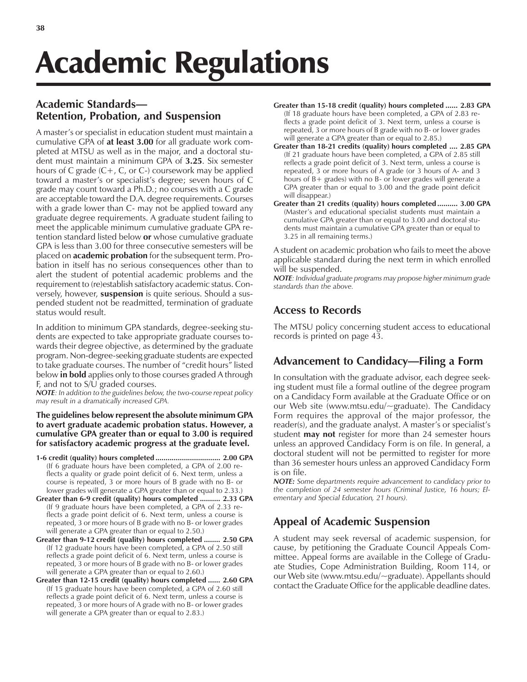# Academic Regulations

# **Academic Standards— Retention, Probation, and Suspension**

A master's or specialist in education student must maintain a cumulative GPA of **at least 3.00** for all graduate work completed at MTSU as well as in the major, and a doctoral student must maintain a minimum GPA of **3.25**. Six semester hours of C grade  $(C+, C, or C)$  coursework may be applied toward a master's or specialist's degree; seven hours of C grade may count toward a Ph.D.; no courses with a C grade are acceptable toward the D.A. degree requirements. Courses with a grade lower than C- may not be applied toward any graduate degree requirements. A graduate student failing to meet the applicable minimum cumulative graduate GPA retention standard listed below **or** whose cumulative graduate GPA is less than 3.00 for three consecutive semesters will be placed on **academic probation** for the subsequent term. Probation in itself has no serious consequences other than to alert the student of potential academic problems and the requirement to (re)establish satisfactory academic status. Conversely, however, **suspension** is quite serious. Should a suspended student not be readmitted, termination of graduate status would result.

In addition to minimum GPA standards, degree-seeking students are expected to take appropriate graduate courses towards their degree objective, as determined by the graduate program. Non-degree-seeking graduate students are expected to take graduate courses. The number of "credit hours" listed below **in bold** applies only to those courses graded A through F, and not to S/U graded courses.

*NOTE: In addition to the guidelines below, the two-course repeat policy may result in a dramatically increased GPA.*

**The guidelines below represent the absolute minimum GPA to avert graduate academic probation status. However, a cumulative GPA greater than or equal to 3.00 is required for satisfactory academic progress at the graduate level.**

- **1-6 credit (quality) hours completed ................................ 2.00 GPA** (If 6 graduate hours have been completed, a GPA of 2.00 reflects a quality or grade point deficit of 6. Next term, unless a course is repeated, 3 or more hours of B grade with no B- or lower grades will generate a GPA greater than or equal to 2.33.)
- **Greater than 6-9 credit (quality) hours completed .......... 2.33 GPA** (If 9 graduate hours have been completed, a GPA of 2.33 reflects a grade point deficit of 6. Next term, unless a course is repeated, 3 or more hours of B grade with no B- or lower grades will generate a GPA greater than or equal to 2.50.)
- **Greater than 9-12 credit (quality) hours completed ........ 2.50 GPA** (If 12 graduate hours have been completed, a GPA of 2.50 still reflects a grade point deficit of 6. Next term, unless a course is repeated, 3 or more hours of B grade with no B- or lower grades will generate a GPA greater than or equal to 2.60.)
- **Greater than 12-15 credit (quality) hours completed ...... 2.60 GPA** (If 15 graduate hours have been completed, a GPA of 2.60 still reflects a grade point deficit of 6. Next term, unless a course is repeated, 3 or more hours of A grade with no B- or lower grades will generate a GPA greater than or equal to 2.83.)
- **Greater than 15-18 credit (quality) hours completed ...... 2.83 GPA** (If 18 graduate hours have been completed, a GPA of 2.83 reflects a grade point deficit of 3. Next term, unless a course is repeated, 3 or more hours of B grade with no B- or lower grades will generate a GPA greater than or equal to 2.85.)
- **Greater than 18-21 credits (quality) hours completed .... 2.85 GPA** (If 21 graduate hours have been completed, a GPA of 2.85 still reflects a grade point deficit of 3. Next term, unless a course is repeated, 3 or more hours of A grade (or 3 hours of A- and 3 hours of B+ grades) with no B- or lower grades will generate a GPA greater than or equal to 3.00 and the grade point deficit will disappear.)
- **Greater than 21 credits (quality) hours completed .......... 3.00 GPA** (Master's and educational specialist students must maintain a cumulative GPA greater than or equal to 3.00 and doctoral students must maintain a cumulative GPA greater than or equal to 3.25 in all remaining terms.)

A student on academic probation who fails to meet the above applicable standard during the next term in which enrolled will be suspended.

*NOTE: Individual graduate programs may propose higher minimum grade standards than the above.*

# **Access to Records**

The MTSU policy concerning student access to educational records is printed on page 43.

# Advancement to Candidacy—Filing a Form

In consultation with the graduate advisor, each degree seeking student must file a formal outline of the degree program on a Candidacy Form available at the Graduate Office or on our Web site (www.mtsu.edu/~graduate). The Candidacy Form requires the approval of the major professor, the reader(s), and the graduate analyst. A master's or specialist's student **may not** register for more than 24 semester hours unless an approved Candidacy Form is on file. In general, a doctoral student will not be permitted to register for more than 36 semester hours unless an approved Candidacy Form is on file.

*NOTE: Some departments require advancement to candidacy prior to the completion of 24 semester hours (Criminal Justice, 16 hours; Elementary and Special Education, 21 hours).*

# **Appeal of Academic Suspension**

A student may seek reversal of academic suspension, for cause, by petitioning the Graduate Council Appeals Committee. Appeal forms are available in the College of Graduate Studies, Cope Administration Building, Room 114, or our Web site (www.mtsu.edu/~graduate). Appellants should contact the Graduate Office for the applicable deadline dates.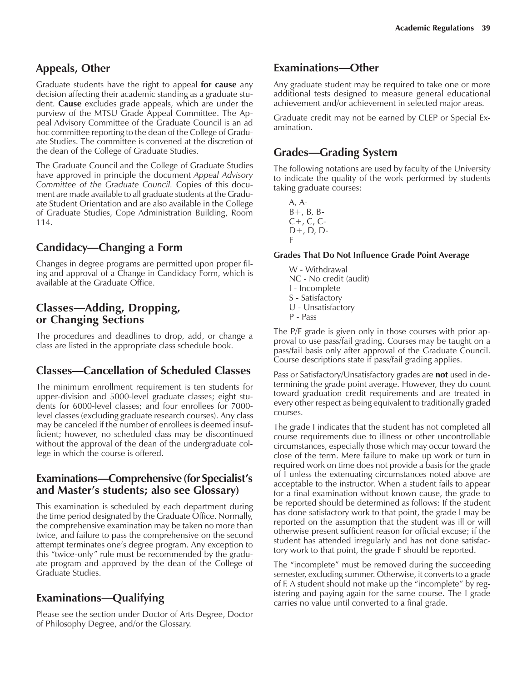## **Appeals, Other**

Graduate students have the right to appeal **for cause** any decision affecting their academic standing as a graduate student. **Cause** excludes grade appeals, which are under the purview of the MTSU Grade Appeal Committee. The Appeal Advisory Committee of the Graduate Council is an ad hoc committee reporting to the dean of the College of Graduate Studies. The committee is convened at the discretion of the dean of the College of Graduate Studies.

The Graduate Council and the College of Graduate Studies have approved in principle the document *Appeal Advisory Committee of the Graduate Council.* Copies of this document are made available to all graduate students at the Graduate Student Orientation and are also available in the College of Graduate Studies, Cope Administration Building, Room 114.

## **Candidacy—Changing a Form**

Changes in degree programs are permitted upon proper filing and approval of a Change in Candidacy Form, which is available at the Graduate Office.

## **Classes—Adding, Dropping, or Changing Sections**

The procedures and deadlines to drop, add, or change a class are listed in the appropriate class schedule book.

## **Classes—Cancellation of Scheduled Classes**

The minimum enrollment requirement is ten students for upper-division and 5000-level graduate classes; eight students for 6000-level classes; and four enrollees for 7000 level classes (excluding graduate research courses). Any class may be canceled if the number of enrollees is deemed insufficient; however, no scheduled class may be discontinued without the approval of the dean of the undergraduate college in which the course is offered.

### **Examinations-Comprehensive (for Specialist's and Masterís students; also see Glossary)**

This examination is scheduled by each department during the time period designated by the Graduate Office. Normally, the comprehensive examination may be taken no more than twice, and failure to pass the comprehensive on the second attempt terminates one's degree program. Any exception to this "twice-only" rule must be recommended by the graduate program and approved by the dean of the College of Graduate Studies.

# **Examinations—Qualifying**

Please see the section under Doctor of Arts Degree, Doctor of Philosophy Degree, and/or the Glossary.

## **Examinations-Other**

Any graduate student may be required to take one or more additional tests designed to measure general educational achievement and/or achievement in selected major areas.

Graduate credit may not be earned by CLEP or Special Examination.

## **Grades—Grading System**

The following notations are used by faculty of the University to indicate the quality of the work performed by students taking graduate courses:

A, A- $B+$ ,  $B$ ,  $B-$ C+, C, C-D+, D, D-F

#### **Grades That Do Not Influence Grade Point Average**

W - Withdrawal NC - No credit (audit) I - Incomplete S - Satisfactory U - Unsatisfactory P - Pass

The P/F grade is given only in those courses with prior approval to use pass/fail grading. Courses may be taught on a pass/fail basis only after approval of the Graduate Council. Course descriptions state if pass/fail grading applies.

Pass or Satisfactory/Unsatisfactory grades are **not** used in determining the grade point average. However, they do count toward graduation credit requirements and are treated in every other respect as being equivalent to traditionally graded courses.

The grade I indicates that the student has not completed all course requirements due to illness or other uncontrollable circumstances, especially those which may occur toward the close of the term. Mere failure to make up work or turn in required work on time does not provide a basis for the grade of I unless the extenuating circumstances noted above are acceptable to the instructor. When a student fails to appear for a final examination without known cause, the grade to be reported should be determined as follows: If the student has done satisfactory work to that point, the grade I may be reported on the assumption that the student was ill or will otherwise present sufficient reason for official excuse; if the student has attended irregularly and has not done satisfactory work to that point, the grade F should be reported.

The "incomplete" must be removed during the succeeding semester, excluding summer. Otherwise, it converts to a grade of F. A student should not make up the "incomplete" by registering and paying again for the same course. The I grade carries no value until converted to a final grade.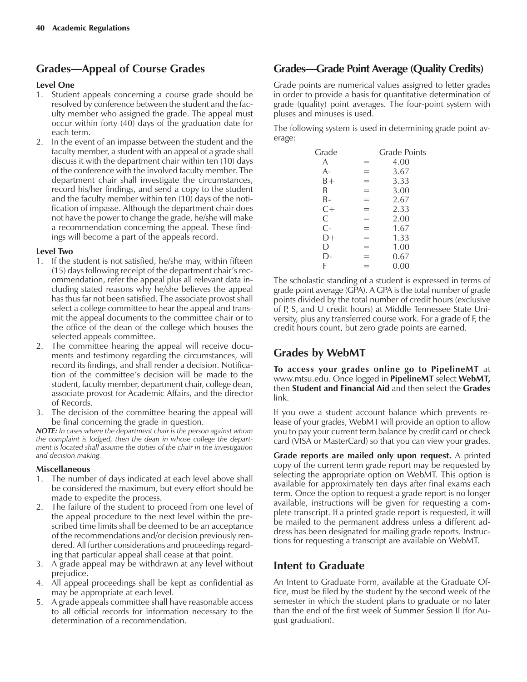# **Grades—Appeal of Course Grades**

#### **Level One**

- 1. Student appeals concerning a course grade should be resolved by conference between the student and the faculty member who assigned the grade. The appeal must occur within forty (40) days of the graduation date for each term.
- 2. In the event of an impasse between the student and the faculty member, a student with an appeal of a grade shall discuss it with the department chair within ten (10) days of the conference with the involved faculty member. The department chair shall investigate the circumstances, record his/her findings, and send a copy to the student and the faculty member within ten (10) days of the notification of impasse. Although the department chair does not have the power to change the grade, he/she will make a recommendation concerning the appeal. These findings will become a part of the appeals record.

#### **Level Two**

- 1. If the student is not satisfied, he/she may, within fifteen (15) days following receipt of the department chair's recommendation, refer the appeal plus all relevant data including stated reasons why he/she believes the appeal has thus far not been satisfied. The associate provost shall select a college committee to hear the appeal and transmit the appeal documents to the committee chair or to the office of the dean of the college which houses the selected appeals committee.
- 2. The committee hearing the appeal will receive documents and testimony regarding the circumstances, will record its findings, and shall render a decision. Notification of the committee's decision will be made to the student, faculty member, department chair, college dean, associate provost for Academic Affairs, and the director of Records.
- 3. The decision of the committee hearing the appeal will be final concerning the grade in question.

*NOTE: In cases where the department chair is the person against whom the complaint is lodged, then the dean in whose college the department is located shall assume the duties of the chair in the investigation and decision making.*

#### **Miscellaneous**

- 1. The number of days indicated at each level above shall be considered the maximum, but every effort should be made to expedite the process.
- 2. The failure of the student to proceed from one level of the appeal procedure to the next level within the prescribed time limits shall be deemed to be an acceptance of the recommendations and/or decision previously rendered. All further considerations and proceedings regarding that particular appeal shall cease at that point.
- 3. A grade appeal may be withdrawn at any level without prejudice.
- 4. All appeal proceedings shall be kept as confidential as may be appropriate at each level.
- 5. A grade appeals committee shall have reasonable access to all official records for information necessary to the determination of a recommendation.

## **Grades—Grade Point Average (Quality Credits)**

Grade points are numerical values assigned to letter grades in order to provide a basis for quantitative determination of grade (quality) point averages. The four-point system with pluses and minuses is used.

The following system is used in determining grade point average:

| Grade |     | Grade Points |
|-------|-----|--------------|
| A     | =   | 4.00         |
| A-    |     | 3.67         |
| B+    | ═   | 3.33         |
| B     | $=$ | 3.00         |
| В-    | ═   | 2.67         |
| $C+$  | $=$ | 2.33         |
| С     | ᆖ   | 2.00         |
| $C -$ | $=$ | 1.67         |
| D+    | =   | 1.33         |
| D     | =   | 1.00         |
| D-    |     | 0.67         |
| F     |     | 0.00         |
|       |     |              |

The scholastic standing of a student is expressed in terms of grade point average (GPA). A GPA is the total number of grade points divided by the total number of credit hours (exclusive of P, S, and U credit hours) at Middle Tennessee State University, plus any transferred course work. For a grade of F, the credit hours count, but zero grade points are earned.

# **Grades by WebMT**

**To access your grades online go to PipelineMT** at www.mtsu.edu. Once logged in **PipelineMT** select **WebMT,** then **Student and Financial Aid** and then select the **Grades** link.

If you owe a student account balance which prevents release of your grades, WebMT will provide an option to allow you to pay your current term balance by credit card or check card (VISA or MasterCard) so that you can view your grades.

**Grade reports are mailed only upon request.** A printed copy of the current term grade report may be requested by selecting the appropriate option on WebMT. This option is available for approximately ten days after final exams each term. Once the option to request a grade report is no longer available, instructions will be given for requesting a complete transcript. If a printed grade report is requested, it will be mailed to the permanent address unless a different address has been designated for mailing grade reports. Instructions for requesting a transcript are available on WebMT.

## **Intent to Graduate**

An Intent to Graduate Form, available at the Graduate Office, must be filed by the student by the second week of the semester in which the student plans to graduate or no later than the end of the first week of Summer Session II (for August graduation).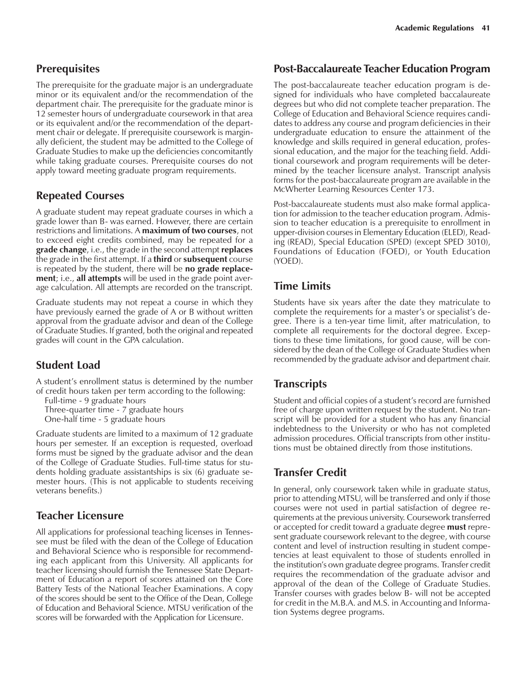## **Prerequisites**

The prerequisite for the graduate major is an undergraduate minor or its equivalent and/or the recommendation of the department chair. The prerequisite for the graduate minor is 12 semester hours of undergraduate coursework in that area or its equivalent and/or the recommendation of the department chair or delegate. If prerequisite coursework is marginally deficient, the student may be admitted to the College of Graduate Studies to make up the deficiencies concomitantly while taking graduate courses. Prerequisite courses do not apply toward meeting graduate program requirements.

## **Repeated Courses**

A graduate student may repeat graduate courses in which a grade lower than B- was earned. However, there are certain restrictions and limitations. A **maximum of two courses**, not to exceed eight credits combined, may be repeated for a **grade change**, i.e., the grade in the second attempt **replaces** the grade in the first attempt. If a **third** or **subsequent** course is repeated by the student, there will be **no grade replacement**; i.e., **all attempts** will be used in the grade point average calculation. All attempts are recorded on the transcript.

Graduate students may not repeat a course in which they have previously earned the grade of A or B without written approval from the graduate advisor and dean of the College of Graduate Studies. If granted, both the original and repeated grades will count in the GPA calculation.

# **Student Load**

A student's enrollment status is determined by the number of credit hours taken per term according to the following:

Full-time - 9 graduate hours Three-quarter time - 7 graduate hours One-half time - 5 graduate hours

Graduate students are limited to a maximum of 12 graduate hours per semester. If an exception is requested, overload forms must be signed by the graduate advisor and the dean of the College of Graduate Studies. Full-time status for students holding graduate assistantships is six (6) graduate semester hours. (This is not applicable to students receiving veterans benefits.)

# **Teacher Licensure**

All applications for professional teaching licenses in Tennessee must be filed with the dean of the College of Education and Behavioral Science who is responsible for recommending each applicant from this University. All applicants for teacher licensing should furnish the Tennessee State Department of Education a report of scores attained on the Core Battery Tests of the National Teacher Examinations. A copy of the scores should be sent to the Office of the Dean, College of Education and Behavioral Science. MTSU verification of the scores will be forwarded with the Application for Licensure.

## **Post-Baccalaureate Teacher Education Program**

The post-baccalaureate teacher education program is designed for individuals who have completed baccalaureate degrees but who did not complete teacher preparation. The College of Education and Behavioral Science requires candidates to address any course and program deficiencies in their undergraduate education to ensure the attainment of the knowledge and skills required in general education, professional education, and the major for the teaching field. Additional coursework and program requirements will be determined by the teacher licensure analyst. Transcript analysis forms for the post-baccalaureate program are available in the McWherter Learning Resources Center 173.

Post-baccalaureate students must also make formal application for admission to the teacher education program. Admission to teacher education is a prerequisite to enrollment in upper-division courses in Elementary Education (ELED), Reading (READ), Special Education (SPED) (except SPED 3010), Foundations of Education (FOED), or Youth Education (YOED).

# **Time Limits**

Students have six years after the date they matriculate to complete the requirements for a master's or specialist's degree. There is a ten-year time limit, after matriculation, to complete all requirements for the doctoral degree. Exceptions to these time limitations, for good cause, will be considered by the dean of the College of Graduate Studies when recommended by the graduate advisor and department chair.

## **Transcripts**

Student and official copies of a student's record are furnished free of charge upon written request by the student. No transcript will be provided for a student who has any financial indebtedness to the University or who has not completed admission procedures. Official transcripts from other institutions must be obtained directly from those institutions.

# **Transfer Credit**

In general, only coursework taken while in graduate status, prior to attending MTSU, will be transferred and only if those courses were not used in partial satisfaction of degree requirements at the previous university. Coursework transferred or accepted for credit toward a graduate degree **must** represent graduate coursework relevant to the degree, with course content and level of instruction resulting in student competencies at least equivalent to those of students enrolled in the institutionís own graduate degree programs. Transfer credit requires the recommendation of the graduate advisor and approval of the dean of the College of Graduate Studies. Transfer courses with grades below B- will not be accepted for credit in the M.B.A. and M.S. in Accounting and Information Systems degree programs.